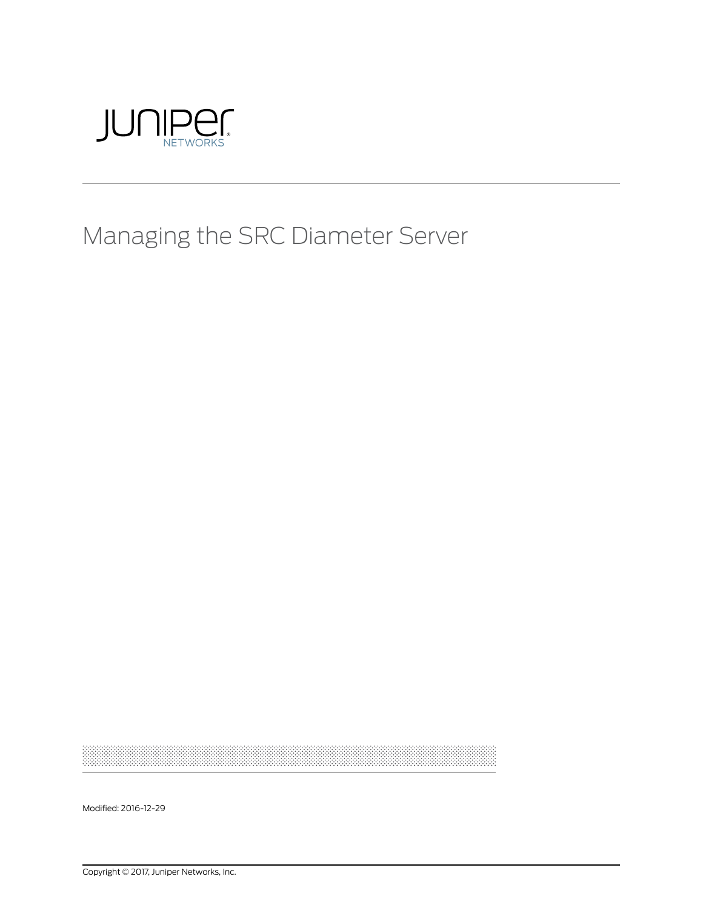

# Managing the SRC Diameter Server

Modified: 2016-12-29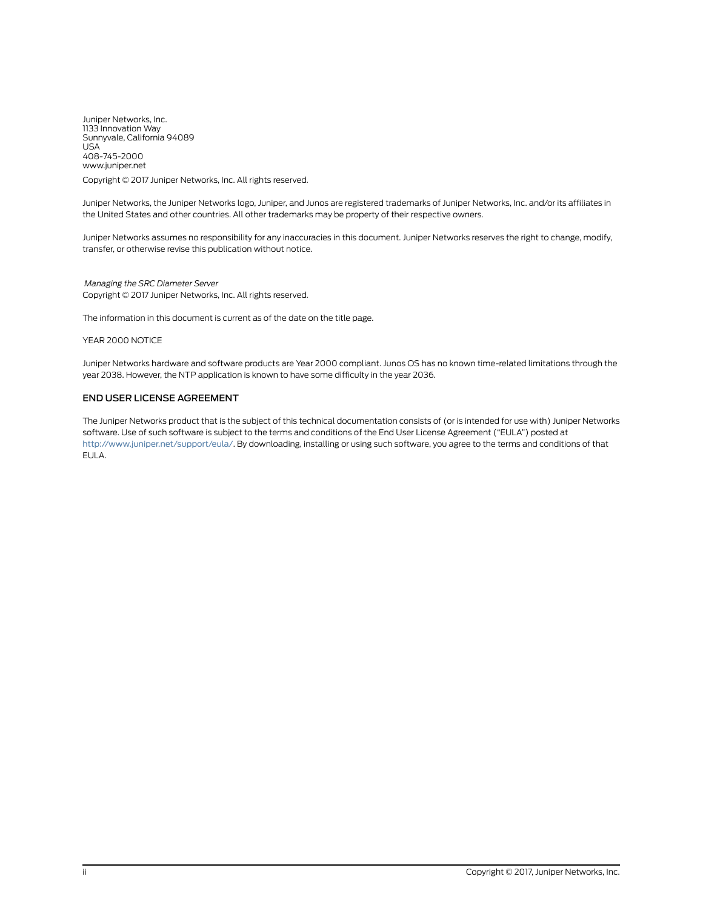Juniper Networks, Inc. 1133 Innovation Way Sunnyvale, California 94089 USA 408-745-2000 www.juniper.net

Copyright © 2017 Juniper Networks, Inc. All rights reserved.

Juniper Networks, the Juniper Networks logo, Juniper, and Junos are registered trademarks of Juniper Networks, Inc. and/or its affiliates in the United States and other countries. All other trademarks may be property of their respective owners.

Juniper Networks assumes no responsibility for any inaccuracies in this document. Juniper Networks reserves the right to change, modify, transfer, or otherwise revise this publication without notice.

*Managing the SRC Diameter Server* Copyright © 2017 Juniper Networks, Inc. All rights reserved.

The information in this document is current as of the date on the title page.

#### YEAR 2000 NOTICE

Juniper Networks hardware and software products are Year 2000 compliant. Junos OS has no known time-related limitations through the year 2038. However, the NTP application is known to have some difficulty in the year 2036.

#### END USER LICENSE AGREEMENT

The Juniper Networks product that is the subject of this technical documentation consists of (or is intended for use with) Juniper Networks software. Use of such software is subject to the terms and conditions of the End User License Agreement ("EULA") posted at <http://www.juniper.net/support/eula/>. By downloading, installing or using such software, you agree to the terms and conditions of that EULA.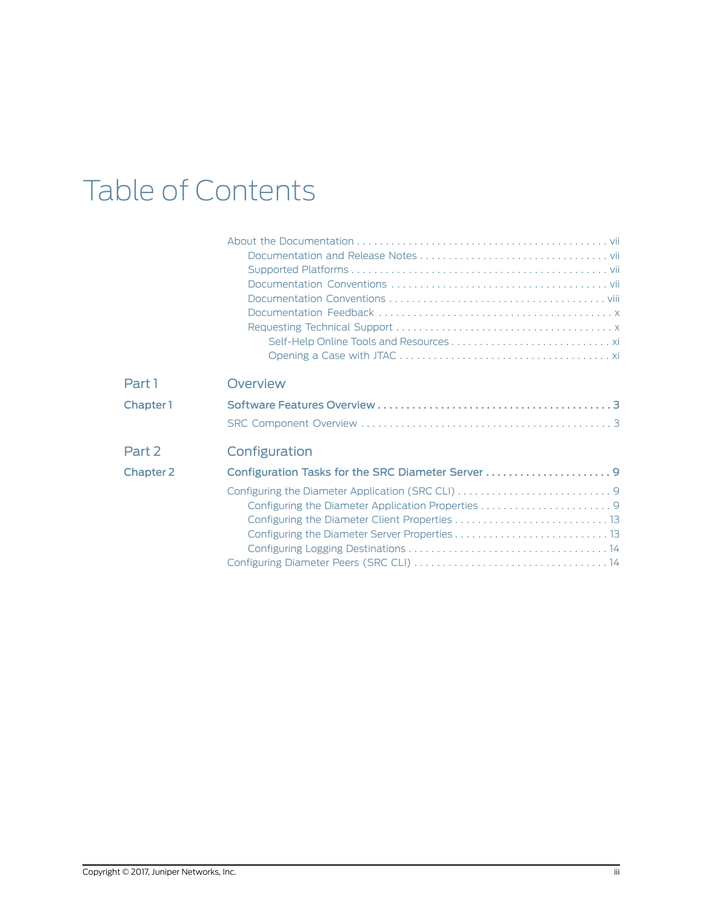# Table of Contents

| Part 1           | Overview                                           |
|------------------|----------------------------------------------------|
| Chapter 1        |                                                    |
|                  |                                                    |
|                  |                                                    |
| Part 2           | Configuration                                      |
| <b>Chapter 2</b> | Configuration Tasks for the SRC Diameter Server  9 |
|                  |                                                    |
|                  |                                                    |
|                  |                                                    |
|                  |                                                    |
|                  |                                                    |
|                  |                                                    |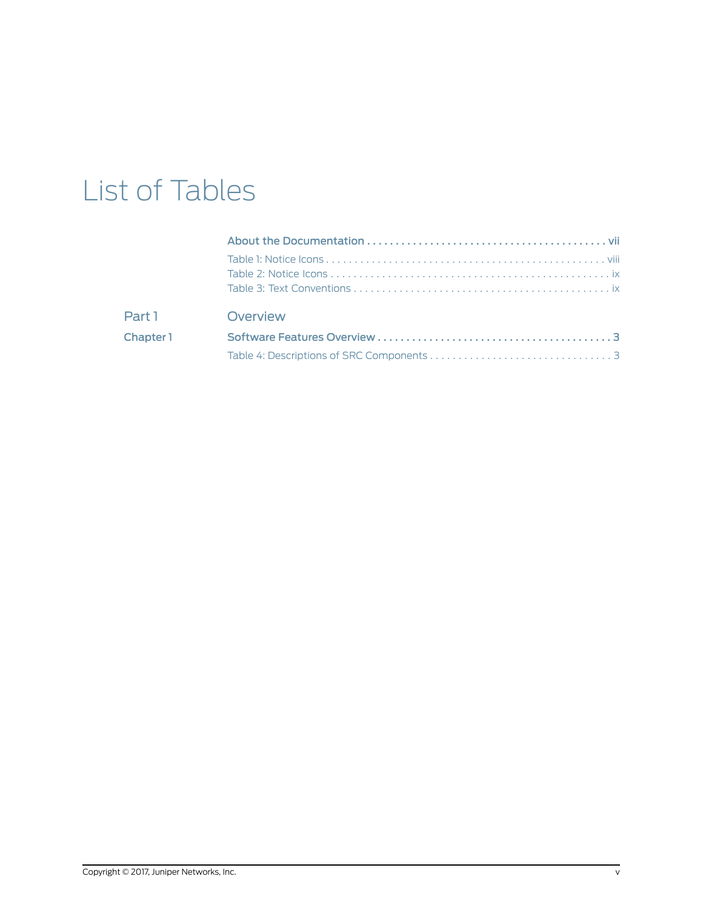# List of Tables

| Part 1    | Overview |
|-----------|----------|
| Chapter 1 |          |
|           |          |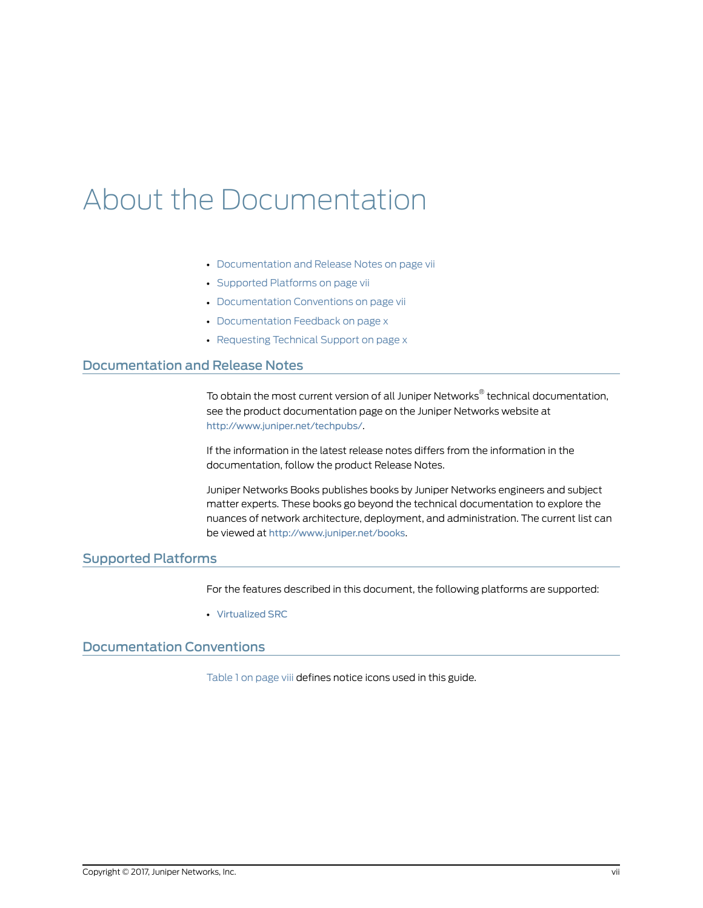# <span id="page-6-0"></span>About the Documentation

- [Documentation](#page-6-1) and Release Notes on [page](#page-6-1) vii
- [Supported](#page-6-2) Platforms on [page](#page-6-2) vii
- [Documentation](#page-6-3) Conventions on [page](#page-6-3) vii
- [Documentation](#page-9-0) Feedback on [page](#page-9-0) x
- [Requesting](#page-9-1) Technical Support on [page](#page-9-1) x

### <span id="page-6-1"></span>Documentation and Release Notes

To obtain the most current version of all Juniper Networks ® technical documentation, see the product documentation page on the Juniper Networks website at <http://www.juniper.net/techpubs/>.

If the information in the latest release notes differs from the information in the documentation, follow the product Release Notes.

Juniper Networks Books publishes books by Juniper Networks engineers and subject matter experts. These books go beyond the technical documentation to explore the nuances of network architecture, deployment, and administration. The current list can be viewed at <http://www.juniper.net/books>.

## <span id="page-6-3"></span><span id="page-6-2"></span>Supported Platforms

For the features described in this document, the following platforms are supported:

• [Virtualized](http://www.juniper.net/techpubs/en_US/release-independent/src/information-products/pathway-pages/c-series/product/index.html) SRC

### Documentation Conventions

[Table](#page-7-1) 1 on page viii defines notice icons used in this guide.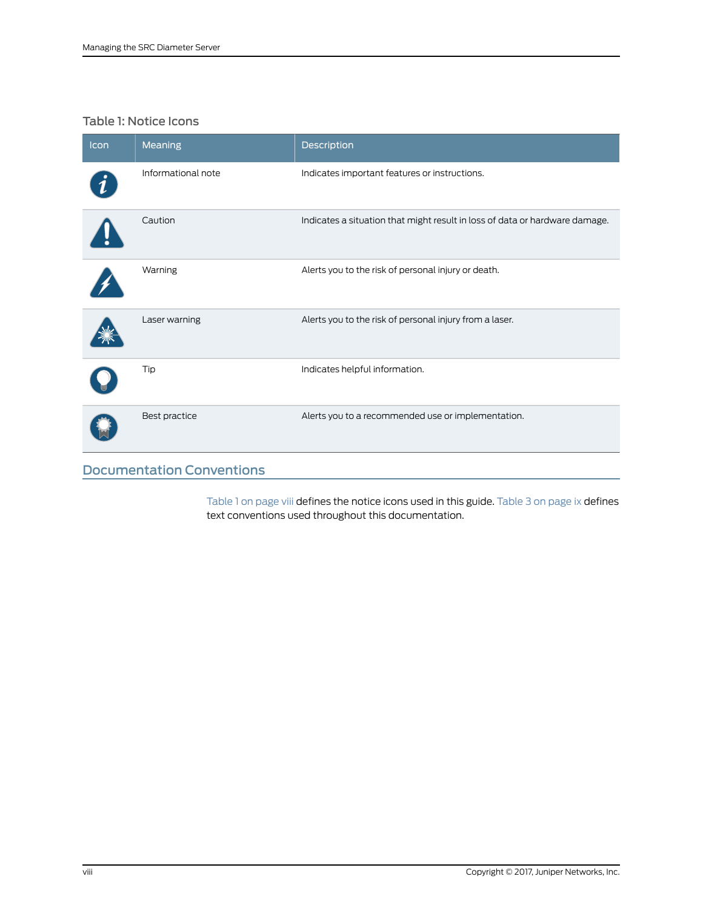## <span id="page-7-1"></span>Table 1: Notice Icons

| Icon                             | Meaning            | Description                                                                 |
|----------------------------------|--------------------|-----------------------------------------------------------------------------|
|                                  | Informational note | Indicates important features or instructions.                               |
|                                  | Caution            | Indicates a situation that might result in loss of data or hardware damage. |
|                                  | Warning            | Alerts you to the risk of personal injury or death.                         |
|                                  | Laser warning      | Alerts you to the risk of personal injury from a laser.                     |
|                                  | Tip                | Indicates helpful information.                                              |
|                                  | Best practice      | Alerts you to a recommended use or implementation.                          |
| <b>Documentation Conventions</b> |                    |                                                                             |

<span id="page-7-0"></span>[Table](#page-8-1) 1 on page viii defines the notice icons used in this guide. Table 3 on page ix defines text conventions used throughout this documentation.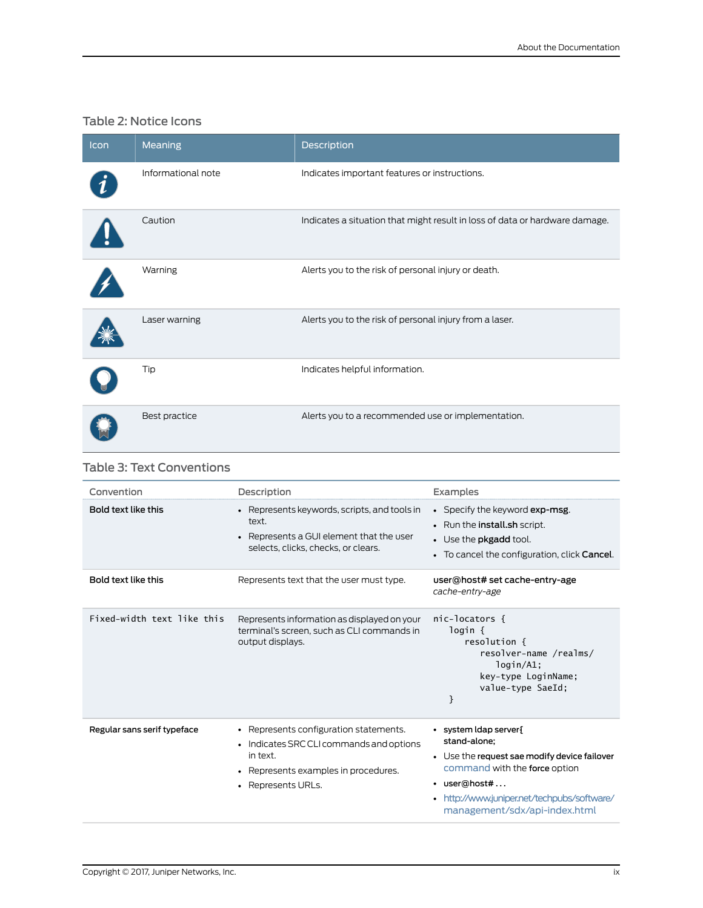# <span id="page-8-0"></span>Table 2: Notice Icons

| Icon | Meaning            | Description                                                                 |
|------|--------------------|-----------------------------------------------------------------------------|
|      | Informational note | Indicates important features or instructions.                               |
|      | Caution            | Indicates a situation that might result in loss of data or hardware damage. |
|      | Warning            | Alerts you to the risk of personal injury or death.                         |
|      | Laser warning      | Alerts you to the risk of personal injury from a laser.                     |
|      | Tip                | Indicates helpful information.                                              |
|      | Best practice      | Alerts you to a recommended use or implementation.                          |

## <span id="page-8-1"></span>Table 3: Text Conventions

| Convention                  | Description                                                                                                                                                  | Examples                                                                                                                                                                                                                |
|-----------------------------|--------------------------------------------------------------------------------------------------------------------------------------------------------------|-------------------------------------------------------------------------------------------------------------------------------------------------------------------------------------------------------------------------|
| Bold text like this         | • Represents keywords, scripts, and tools in<br>text.<br>• Represents a GUI element that the user<br>selects, clicks, checks, or clears.                     | • Specify the keyword exp-msg.<br>• Run the <b>install</b> .sh script.<br>• Use the <b>pkgadd</b> tool.<br>• To cancel the configuration, click Cancel.                                                                 |
| Bold text like this         | Represents text that the user must type.                                                                                                                     | user@host# set cache-entry-age<br>cache-entry-age                                                                                                                                                                       |
| Fixed-width text like this  | Represents information as displayed on your<br>terminal's screen, such as CLI commands in<br>output displays.                                                | nic-locators {<br>login {<br>resolution {<br>resolver-name /realms/<br>$login/AI$ :<br>key-type LoginName;<br>value-type SaeId;<br>}                                                                                    |
| Regular sans serif typeface | • Represents configuration statements.<br>• Indicates SRC CLI commands and options<br>in text.<br>• Represents examples in procedures.<br>• Represents URLs. | • system Idap server {<br>stand-alone:<br>• Use the request sae modify device failover<br>command with the force option<br>• user@host#<br>• http://www.juniper.net/techpubs/software/<br>management/sdx/api-index.html |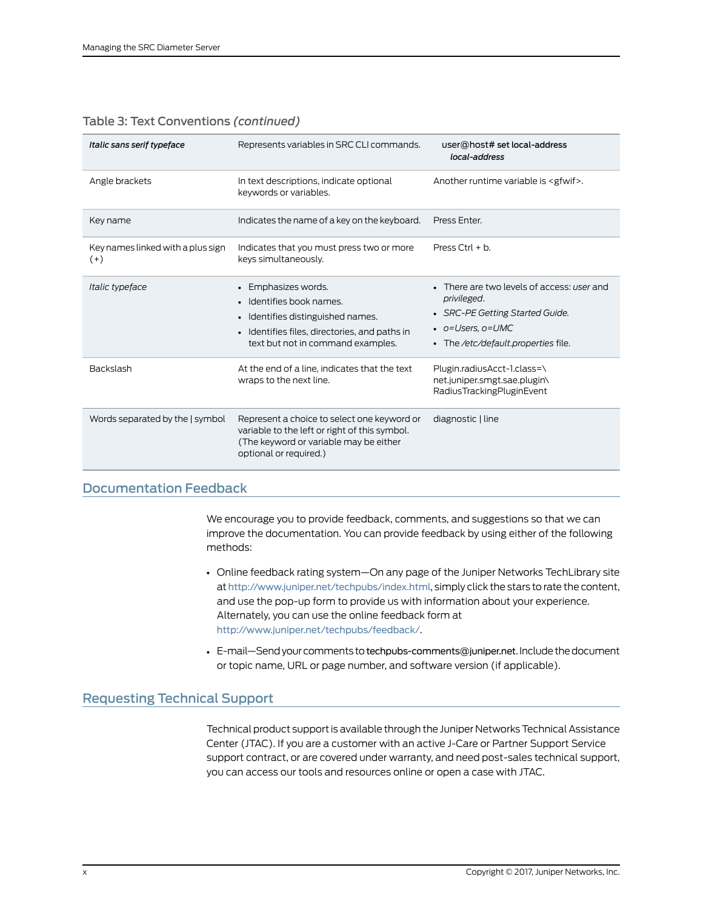| Italic sans serif typeface                 | Represents variables in SRC CLI commands.                                                                                                                              | user@host# set local-address<br>local-address                                                                                                                   |
|--------------------------------------------|------------------------------------------------------------------------------------------------------------------------------------------------------------------------|-----------------------------------------------------------------------------------------------------------------------------------------------------------------|
| Angle brackets                             | In text descriptions, indicate optional<br>keywords or variables.                                                                                                      | Another runtime variable is <gfwif>.</gfwif>                                                                                                                    |
| Key name                                   | Indicates the name of a key on the keyboard.                                                                                                                           | Press Enter.                                                                                                                                                    |
| Key names linked with a plus sign<br>$(+)$ | Indicates that you must press two or more<br>keys simultaneously.                                                                                                      | Press Ctrl $+ b$ .                                                                                                                                              |
| Italic typeface                            | • Emphasizes words.<br>Identifies book names.<br>Identifies distinguished names.<br>• Identifies files, directories, and paths in<br>text but not in command examples. | • There are two levels of access: user and<br>privileged.<br>• SRC-PE Getting Started Guide.<br>$\bullet$ o=Users. o=UMC<br>• The /etc/default.properties file. |
| Backslash                                  | At the end of a line, indicates that the text<br>wraps to the next line.                                                                                               | Plugin.radiusAcct-1.class=\<br>net.juniper.smgt.sae.plugin\<br>RadiusTrackingPluginEvent                                                                        |
| Words separated by the I symbol            | Represent a choice to select one keyword or<br>variable to the left or right of this symbol.<br>(The keyword or variable may be either<br>optional or required.)       | diagnostic   line                                                                                                                                               |

### Table 3: Text Conventions *(continued)*

## <span id="page-9-0"></span>Documentation Feedback

We encourage you to provide feedback, comments, and suggestions so that we can improve the documentation. You can provide feedback by using either of the following methods:

- Online feedback rating system—On any page of the Juniper Networks TechLibrary site at <http://www.juniper.net/techpubs/index.html>, simply click the stars to rate the content, and use the pop-up form to provide us with information about your experience. Alternately, you can use the online feedback form at <http://www.juniper.net/techpubs/feedback/>.
- E-mail—Sendyourcomments to[techpubs-comments@juniper.net](mailto:techpubs-comments@juniper.net?subject=). Includethedocument or topic name, URL or page number, and software version (if applicable).

## <span id="page-9-1"></span>Requesting Technical Support

Technical product support is available through the Juniper NetworksTechnical Assistance Center (JTAC). If you are a customer with an active J-Care or Partner Support Service support contract, or are covered under warranty, and need post-sales technical support, you can access our tools and resources online or open a case with JTAC.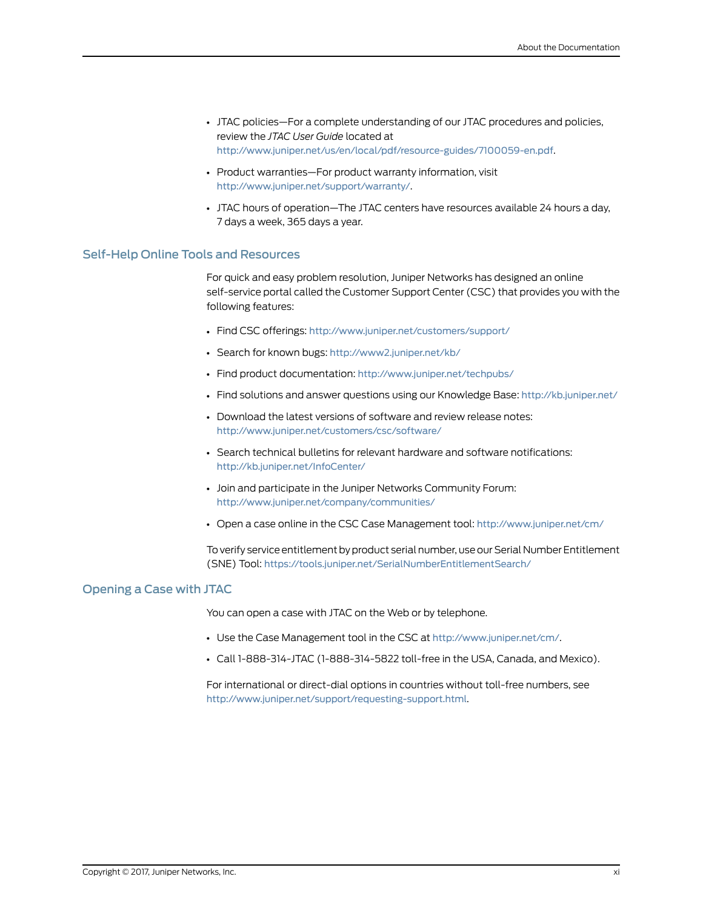- JTAC policies—For a complete understanding of our JTAC procedures and policies, review the *JTAC User Guide* located at <http://www.juniper.net/us/en/local/pdf/resource-guides/7100059-en.pdf>.
- Product warranties—For product warranty information, visit <http://www.juniper.net/support/warranty/>.
- JTAC hours of operation—The JTAC centers have resources available 24 hours a day, 7 days a week, 365 days a year.

### <span id="page-10-0"></span>Self-Help Online Tools and Resources

For quick and easy problem resolution, Juniper Networks has designed an online self-service portal called the Customer Support Center (CSC) that provides you with the following features:

- Find CSC offerings: <http://www.juniper.net/customers/support/>
- Search for known bugs: <http://www2.juniper.net/kb/>
- Find product documentation: <http://www.juniper.net/techpubs/>
- Find solutions and answer questions using our Knowledge Base: <http://kb.juniper.net/>
- Download the latest versions of software and review release notes: <http://www.juniper.net/customers/csc/software/>
- Search technical bulletins for relevant hardware and software notifications: <http://kb.juniper.net/InfoCenter/>
- Join and participate in the Juniper Networks Community Forum: <http://www.juniper.net/company/communities/>
- Open a case online in the CSC Case Management tool: <http://www.juniper.net/cm/>

To verify service entitlement by product serial number, use our Serial Number Entitlement (SNE) Tool: <https://tools.juniper.net/SerialNumberEntitlementSearch/>

#### <span id="page-10-1"></span>Opening a Case with JTAC

You can open a case with JTAC on the Web or by telephone.

- Use the Case Management tool in the CSC at <http://www.juniper.net/cm/>.
- Call 1-888-314-JTAC (1-888-314-5822 toll-free in the USA, Canada, and Mexico).

For international or direct-dial options in countries without toll-free numbers, see <http://www.juniper.net/support/requesting-support.html>.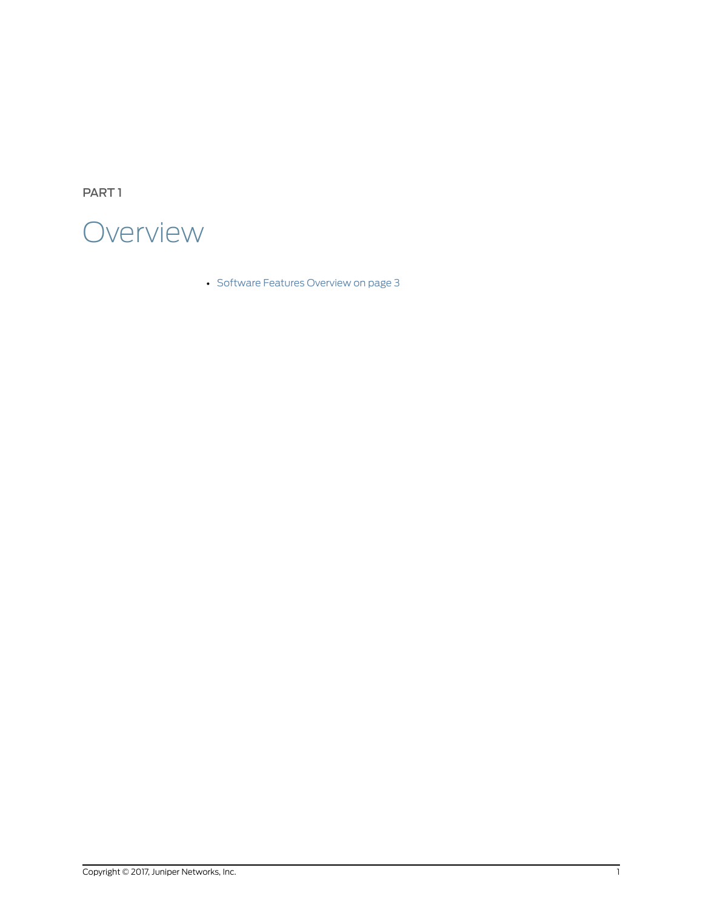<span id="page-12-0"></span>PART 1



• Software Features [Overview](#page-14-0) on [page](#page-14-0) 3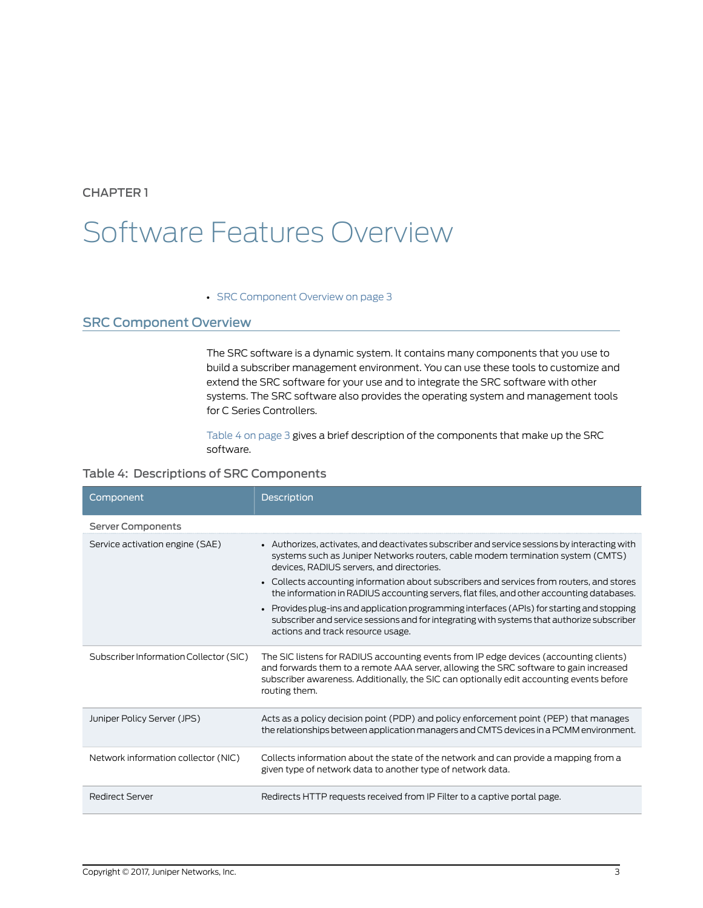## <span id="page-14-0"></span>CHAPTER 1

# Software Features Overview

### • SRC [Component](#page-14-1) Overview on [page](#page-14-1) 3

## <span id="page-14-1"></span>SRC Component Overview

The SRC software is a dynamic system. It contains many components that you use to build a subscriber management environment. You can use these tools to customize and extend the SRC software for your use and to integrate the SRC software with other systems. The SRC software also provides the operating system and management tools for C Series Controllers.

<span id="page-14-2"></span>[Table](#page-14-2) 4 on page 3 gives a brief description of the components that make up the SRC software.

### Table 4: Descriptions of SRC Components

| Component                              | <b>Description</b>                                                                                                                                                                                                                                                                           |  |
|----------------------------------------|----------------------------------------------------------------------------------------------------------------------------------------------------------------------------------------------------------------------------------------------------------------------------------------------|--|
| <b>Server Components</b>               |                                                                                                                                                                                                                                                                                              |  |
| Service activation engine (SAE)        | • Authorizes, activates, and deactivates subscriber and service sessions by interacting with<br>systems such as Juniper Networks routers, cable modem termination system (CMTS)<br>devices, RADIUS servers, and directories.                                                                 |  |
|                                        | • Collects accounting information about subscribers and services from routers, and stores<br>the information in RADIUS accounting servers, flat files, and other accounting databases.                                                                                                       |  |
|                                        | • Provides plug-ins and application programming interfaces (APIs) for starting and stopping<br>subscriber and service sessions and for integrating with systems that authorize subscriber<br>actions and track resource usage.                                                               |  |
| Subscriber Information Collector (SIC) | The SIC listens for RADIUS accounting events from IP edge devices (accounting clients)<br>and forwards them to a remote AAA server, allowing the SRC software to gain increased<br>subscriber awareness. Additionally, the SIC can optionally edit accounting events before<br>routing them. |  |
| Juniper Policy Server (JPS)            | Acts as a policy decision point (PDP) and policy enforcement point (PEP) that manages<br>the relationships between application managers and CMTS devices in a PCMM environment.                                                                                                              |  |
| Network information collector (NIC)    | Collects information about the state of the network and can provide a mapping from a<br>given type of network data to another type of network data.                                                                                                                                          |  |
| <b>Redirect Server</b>                 | Redirects HTTP requests received from IP Filter to a captive portal page.                                                                                                                                                                                                                    |  |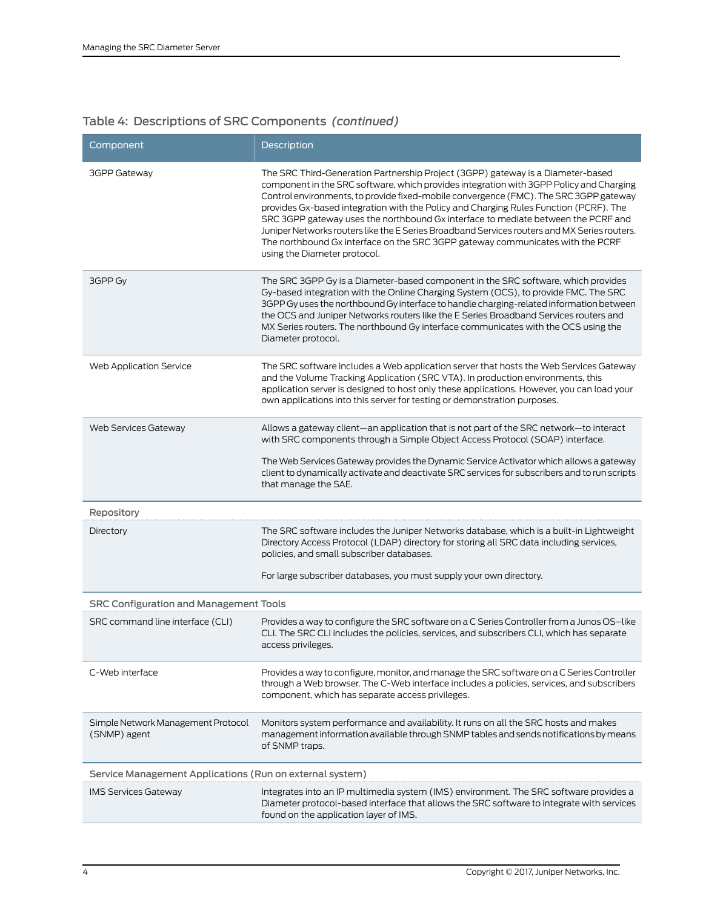|  | Table 4: Descriptions of SRC Components (continued) |  |
|--|-----------------------------------------------------|--|
|  |                                                     |  |

| Component                                                | Description                                                                                                                                                                                                                                                                                                                                                                                                                                                                                                                                                                                                                                                         |
|----------------------------------------------------------|---------------------------------------------------------------------------------------------------------------------------------------------------------------------------------------------------------------------------------------------------------------------------------------------------------------------------------------------------------------------------------------------------------------------------------------------------------------------------------------------------------------------------------------------------------------------------------------------------------------------------------------------------------------------|
| 3GPP Gateway                                             | The SRC Third-Generation Partnership Project (3GPP) gateway is a Diameter-based<br>component in the SRC software, which provides integration with 3GPP Policy and Charging<br>Control environments, to provide fixed-mobile convergence (FMC). The SRC 3GPP gateway<br>provides Gx-based integration with the Policy and Charging Rules Function (PCRF). The<br>SRC 3GPP gateway uses the northbound Gx interface to mediate between the PCRF and<br>Juniper Networks routers like the E Series Broadband Services routers and MX Series routers.<br>The northbound Gx interface on the SRC 3GPP gateway communicates with the PCRF<br>using the Diameter protocol. |
| 3GPP Gy                                                  | The SRC 3GPP Gy is a Diameter-based component in the SRC software, which provides<br>Gy-based integration with the Online Charging System (OCS), to provide FMC. The SRC<br>3GPP Gy uses the northbound Gy interface to handle charging-related information between<br>the OCS and Juniper Networks routers like the E Series Broadband Services routers and<br>MX Series routers. The northbound Gy interface communicates with the OCS using the<br>Diameter protocol.                                                                                                                                                                                            |
| Web Application Service                                  | The SRC software includes a Web application server that hosts the Web Services Gateway<br>and the Volume Tracking Application (SRC VTA). In production environments, this<br>application server is designed to host only these applications. However, you can load your<br>own applications into this server for testing or demonstration purposes.                                                                                                                                                                                                                                                                                                                 |
| Web Services Gateway                                     | Allows a gateway client—an application that is not part of the SRC network—to interact<br>with SRC components through a Simple Object Access Protocol (SOAP) interface.<br>The Web Services Gateway provides the Dynamic Service Activator which allows a gateway<br>client to dynamically activate and deactivate SRC services for subscribers and to run scripts<br>that manage the SAE.                                                                                                                                                                                                                                                                          |
| Repository                                               |                                                                                                                                                                                                                                                                                                                                                                                                                                                                                                                                                                                                                                                                     |
| Directory                                                | The SRC software includes the Juniper Networks database, which is a built-in Lightweight<br>Directory Access Protocol (LDAP) directory for storing all SRC data including services,<br>policies, and small subscriber databases.                                                                                                                                                                                                                                                                                                                                                                                                                                    |
|                                                          | For large subscriber databases, you must supply your own directory.                                                                                                                                                                                                                                                                                                                                                                                                                                                                                                                                                                                                 |
| <b>SRC Configuration and Management Tools</b>            |                                                                                                                                                                                                                                                                                                                                                                                                                                                                                                                                                                                                                                                                     |
| SRC command line interface (CLI)                         | Provides a way to configure the SRC software on a C Series Controller from a Junos OS-like<br>CLI. The SRC CLI includes the policies, services, and subscribers CLI, which has separate<br>access privileges.                                                                                                                                                                                                                                                                                                                                                                                                                                                       |
| C-Web interface                                          | Provides a way to configure, monitor, and manage the SRC software on a C Series Controller<br>through a Web browser. The C-Web interface includes a policies, services, and subscribers<br>component, which has separate access privileges.                                                                                                                                                                                                                                                                                                                                                                                                                         |
| Simple Network Management Protocol<br>(SNMP) agent       | Monitors system performance and availability. It runs on all the SRC hosts and makes<br>management information available through SNMP tables and sends notifications by means<br>of SNMP traps.                                                                                                                                                                                                                                                                                                                                                                                                                                                                     |
| Service Management Applications (Run on external system) |                                                                                                                                                                                                                                                                                                                                                                                                                                                                                                                                                                                                                                                                     |
| <b>IMS Services Gateway</b>                              | Integrates into an IP multimedia system (IMS) environment. The SRC software provides a<br>Diameter protocol-based interface that allows the SRC software to integrate with services<br>found on the application layer of IMS.                                                                                                                                                                                                                                                                                                                                                                                                                                       |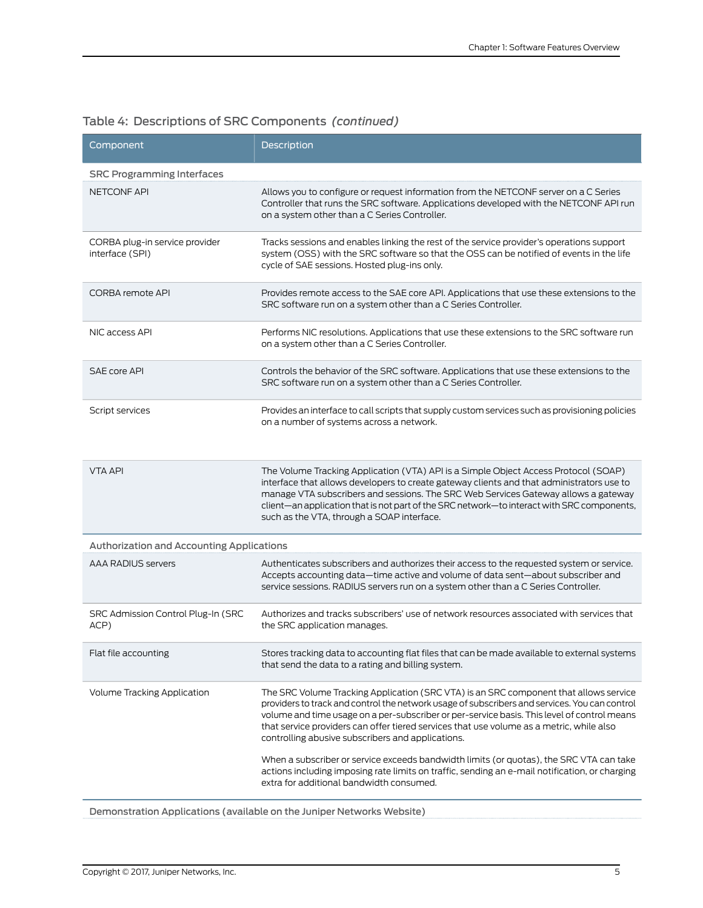| Component                                         | Description                                                                                                                                                                                                                                                                                                                                                                                                                            |
|---------------------------------------------------|----------------------------------------------------------------------------------------------------------------------------------------------------------------------------------------------------------------------------------------------------------------------------------------------------------------------------------------------------------------------------------------------------------------------------------------|
| <b>SRC Programming Interfaces</b>                 |                                                                                                                                                                                                                                                                                                                                                                                                                                        |
| <b>NETCONF API</b>                                | Allows you to configure or request information from the NETCONF server on a C Series<br>Controller that runs the SRC software. Applications developed with the NETCONF API run<br>on a system other than a C Series Controller.                                                                                                                                                                                                        |
| CORBA plug-in service provider<br>interface (SPI) | Tracks sessions and enables linking the rest of the service provider's operations support<br>system (OSS) with the SRC software so that the OSS can be notified of events in the life<br>cycle of SAE sessions. Hosted plug-ins only.                                                                                                                                                                                                  |
| CORBA remote API                                  | Provides remote access to the SAE core API. Applications that use these extensions to the<br>SRC software run on a system other than a C Series Controller.                                                                                                                                                                                                                                                                            |
| NIC access API                                    | Performs NIC resolutions. Applications that use these extensions to the SRC software run<br>on a system other than a C Series Controller.                                                                                                                                                                                                                                                                                              |
| SAE core API                                      | Controls the behavior of the SRC software. Applications that use these extensions to the<br>SRC software run on a system other than a C Series Controller.                                                                                                                                                                                                                                                                             |
| Script services                                   | Provides an interface to call scripts that supply custom services such as provisioning policies<br>on a number of systems across a network.                                                                                                                                                                                                                                                                                            |
| <b>VTA API</b>                                    | The Volume Tracking Application (VTA) API is a Simple Object Access Protocol (SOAP)<br>interface that allows developers to create gateway clients and that administrators use to<br>manage VTA subscribers and sessions. The SRC Web Services Gateway allows a gateway<br>client-an application that is not part of the SRC network-to interact with SRC components,<br>such as the VTA, through a SOAP interface.                     |
| <b>Authorization and Accounting Applications</b>  |                                                                                                                                                                                                                                                                                                                                                                                                                                        |
| <b>AAA RADIUS servers</b>                         | Authenticates subscribers and authorizes their access to the requested system or service.<br>Accepts accounting data-time active and volume of data sent-about subscriber and<br>service sessions. RADIUS servers run on a system other than a C Series Controller.                                                                                                                                                                    |
| SRC Admission Control Plug-In (SRC<br>ACP)        | Authorizes and tracks subscribers' use of network resources associated with services that<br>the SRC application manages.                                                                                                                                                                                                                                                                                                              |
| Flat file accounting                              | Stores tracking data to accounting flat files that can be made available to external systems<br>that send the data to a rating and billing system.                                                                                                                                                                                                                                                                                     |
| <b>Volume Tracking Application</b>                | The SRC Volume Tracking Application (SRC VTA) is an SRC component that allows service<br>providers to track and control the network usage of subscribers and services. You can control<br>volume and time usage on a per-subscriber or per-service basis. This level of control means<br>that service providers can offer tiered services that use volume as a metric, while also<br>controlling abusive subscribers and applications. |
|                                                   | When a subscriber or service exceeds bandwidth limits (or quotas), the SRC VTA can take<br>actions including imposing rate limits on traffic, sending an e-mail notification, or charging<br>extra for additional bandwidth consumed.                                                                                                                                                                                                  |
|                                                   | Demonstration Applications (available on the Juniper Networks Website)                                                                                                                                                                                                                                                                                                                                                                 |

## Table 4: Descriptions of SRC Components *(continued)*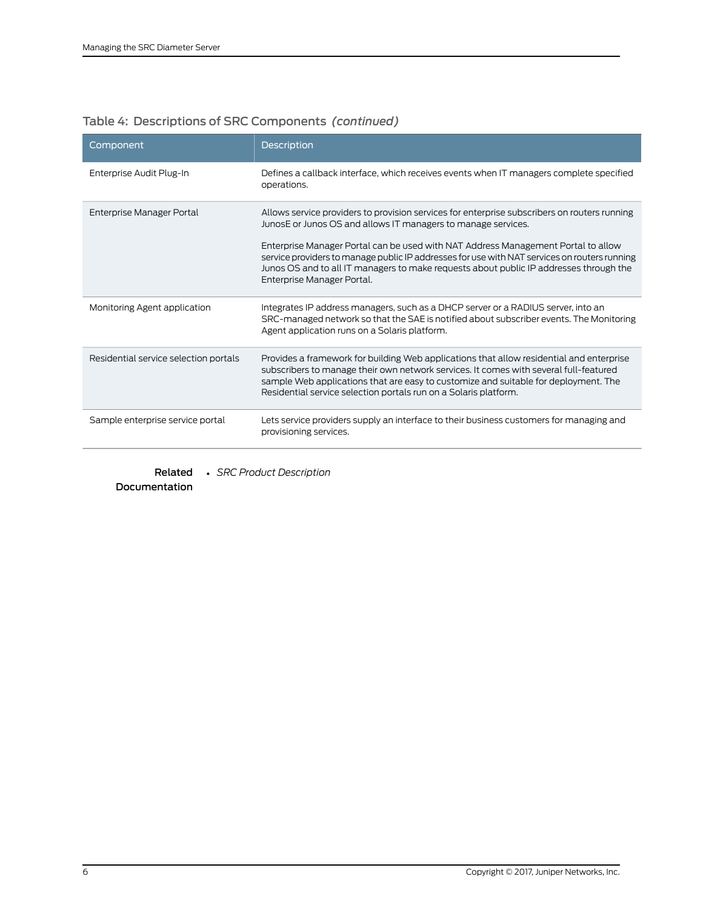| Component                             | <b>Description</b>                                                                                                                                                                                                                                                                                                                                                                                                                                                         |
|---------------------------------------|----------------------------------------------------------------------------------------------------------------------------------------------------------------------------------------------------------------------------------------------------------------------------------------------------------------------------------------------------------------------------------------------------------------------------------------------------------------------------|
| Enterprise Audit Plug-In              | Defines a callback interface, which receives events when IT managers complete specified<br>operations.                                                                                                                                                                                                                                                                                                                                                                     |
| Enterprise Manager Portal             | Allows service providers to provision services for enterprise subscribers on routers running<br>JunosE or Junos OS and allows IT managers to manage services.<br>Enterprise Manager Portal can be used with NAT Address Management Portal to allow<br>service providers to manage public IP addresses for use with NAT services on routers running<br>Junos OS and to all IT managers to make requests about public IP addresses through the<br>Enterprise Manager Portal. |
| Monitoring Agent application          | Integrates IP address managers, such as a DHCP server or a RADIUS server, into an<br>SRC-managed network so that the SAE is notified about subscriber events. The Monitoring<br>Agent application runs on a Solaris platform.                                                                                                                                                                                                                                              |
| Residential service selection portals | Provides a framework for building Web applications that allow residential and enterprise<br>subscribers to manage their own network services. It comes with several full-featured<br>sample Web applications that are easy to customize and suitable for deployment. The<br>Residential service selection portals run on a Solaris platform.                                                                                                                               |
| Sample enterprise service portal      | Lets service providers supply an interface to their business customers for managing and<br>provisioning services.                                                                                                                                                                                                                                                                                                                                                          |

# Table 4: Descriptions of SRC Components *(continued)*

Related • *SRC Product Description* Documentation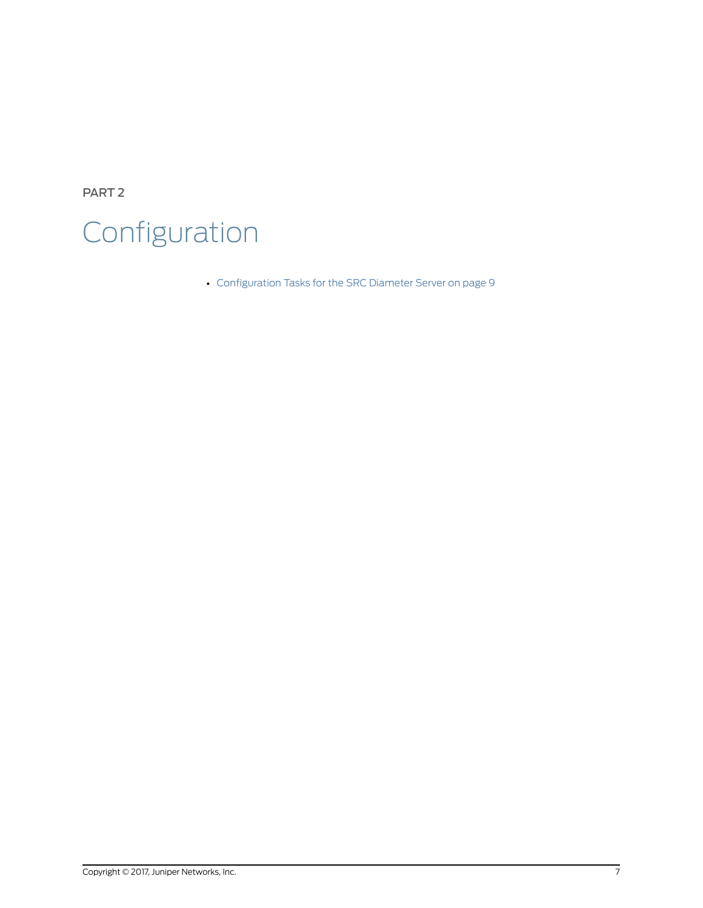<span id="page-18-0"></span>PART 2 Configuration

• [Configuration](#page-20-0) Tasks for the SRC Diameter Server on [page](#page-20-0) 9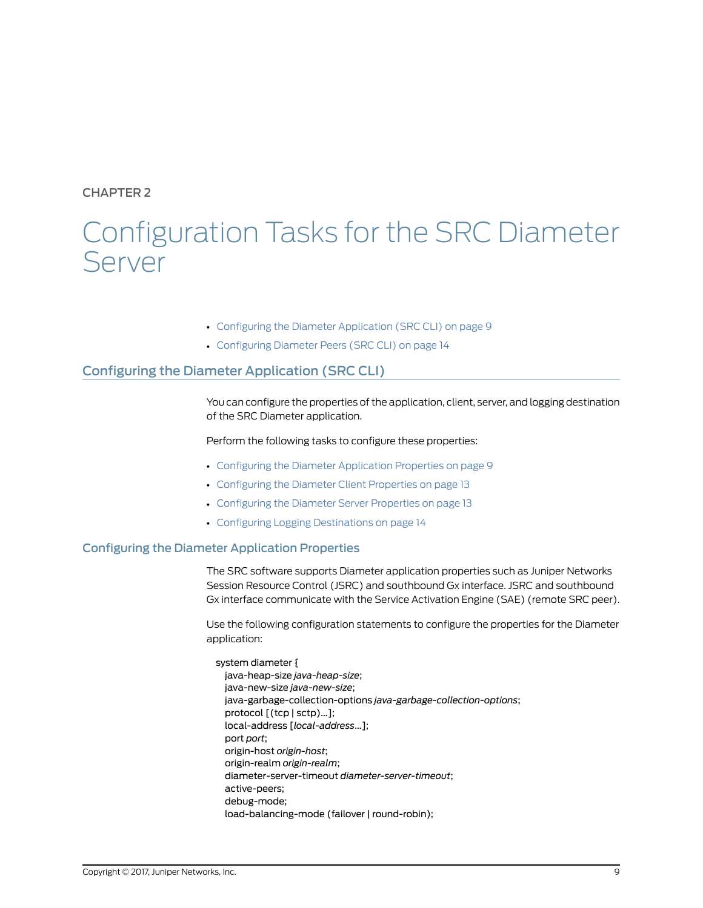## <span id="page-20-0"></span>CHAPTER 2

# Configuration Tasks for the SRC Diameter Server

- [Configuring](#page-20-1) the Diameter Application (SRC CLI) on [page](#page-20-1) 9
- [Configuring](#page-25-1) Diameter Peers (SRC CLI) on [page](#page-25-1) 14

## <span id="page-20-1"></span>Configuring the Diameter Application (SRC CLI)

You can configure the properties of the application, client, server, and logging destination of the SRC Diameter application.

Perform the following tasks to configure these properties:

- [Configuring](#page-20-2) the Diameter Application Properties on [page](#page-20-2) 9
- [Configuring](#page-24-0) the Diameter Client Properties on [page](#page-24-0) 13
- [Configuring](#page-24-1) the Diameter Server Properties on [page](#page-24-1) 13
- Configuring Logging [Destinations](#page-25-0) on [page](#page-25-0) 14

### <span id="page-20-2"></span>Configuring the Diameter Application Properties

The SRC software supports Diameter application properties such as Juniper Networks Session Resource Control (JSRC) and southbound Gx interface. JSRC and southbound Gx interface communicate with the Service Activation Engine (SAE) (remote SRC peer).

Use the following configuration statements to configure the properties for the Diameter application:

system diameter { java-heap-size *java-heap-size*; java-new-size *java-new-size*; java-garbage-collection-options *java-garbage-collection-options*; protocol [(tcp | sctp)...]; local-address [*local-address*...]; port *port*; origin-host *origin-host*; origin-realm *origin-realm*; diameter-server-timeout *diameter-server-timeout*; active-peers; debug-mode; load-balancing-mode (failover | round-robin);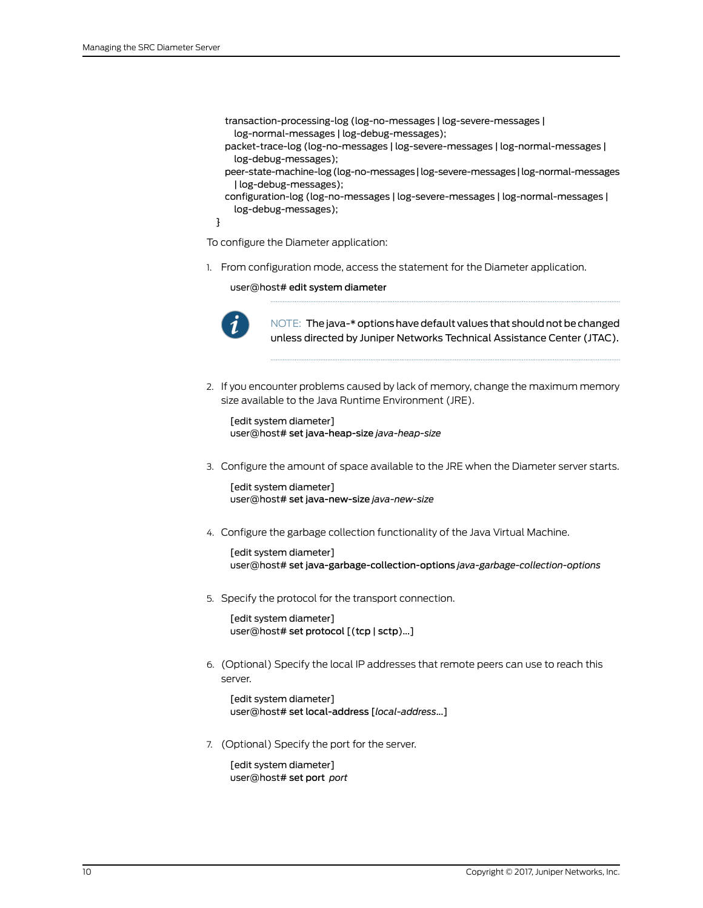```
transaction-processing-log (log-no-messages | log-severe-messages |
 log-normal-messages | log-debug-messages);
```
- packet-trace-log (log-no-messages | log-severe-messages | log-normal-messages | log-debug-messages);
- peer-state-machine-log(log-no-messages |log-severe-messages |log-normal-messages | log-debug-messages);

```
configuration-log (log-no-messages | log-severe-messages | log-normal-messages |
 log-debug-messages);
```

```
}
```
To configure the Diameter application:

1. From configuration mode, access the statement for the Diameter application.

user@host# edit system diameter



NOTE: The java-\* options have default values that should not be changed unless directed by Juniper Networks Technical Assistance Center (JTAC).

2. If you encounter problems caused by lack of memory, change the maximum memory size available to the Java Runtime Environment (JRE).

```
[edit system diameter]
user@host# set java-heap-size java-heap-size
```
3. Configure the amount of space available to the JRE when the Diameter server starts.

[edit system diameter] user@host# set java-new-size *java-new-size*

4. Configure the garbage collection functionality of the Java Virtual Machine.

[edit system diameter] user@host# set java-garbage-collection-options *java-garbage-collection-options*

5. Specify the protocol for the transport connection.

[edit system diameter] user@host# set protocol [(tcp | sctp)...]

6. (Optional) Specify the local IP addresses that remote peers can use to reach this server.

[edit system diameter] user@host# set local-address [*local-address*...]

7. (Optional) Specify the port for the server.

[edit system diameter] user@host# set port *port*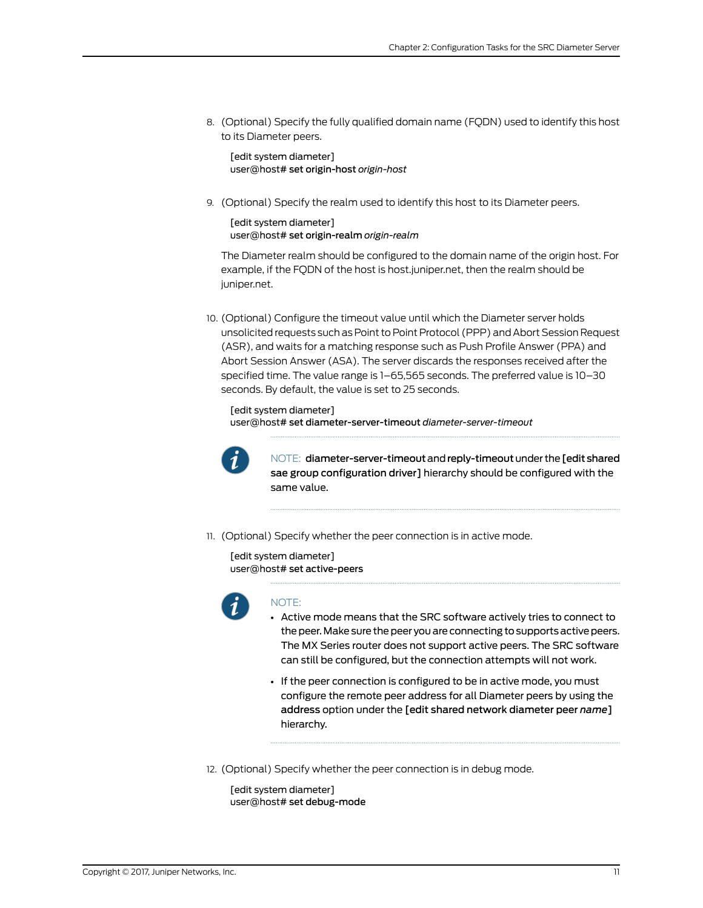8. (Optional) Specify the fully qualified domain name (FQDN) used to identify this host to its Diameter peers.

[edit system diameter] user@host# set origin-host *origin-host*

9. (Optional) Specify the realm used to identify this host to its Diameter peers.

[edit system diameter] user@host# set origin-realm *origin-realm*

The Diameter realm should be configured to the domain name of the origin host. For example, if the FQDN of the host is host.juniper.net, then the realm should be juniper.net.

10. (Optional) Configure the timeout value until which the Diameter server holds unsolicited requests such as Point to Point Protocol (PPP) and Abort Session Request (ASR), and waits for a matching response such as Push Profile Answer (PPA) and Abort Session Answer (ASA). The server discards the responses received after the specified time. The value range is 1–65,565 seconds. The preferred value is 10–30 seconds. By default, the value is set to 25 seconds.

[edit system diameter]

user@host# set diameter-server-timeout *diameter-server-timeout*



NOTE: diameter-server-timeout and reply-timeout under the [edit shared sae group configuration driver] hierarchy should be configured with the same value.

11. (Optional) Specify whether the peer connection is in active mode.

[edit system diameter] user@host# set active-peers



#### NOTE:

- Active mode means that the SRC software actively tries to connect to the peer. Make sure the peer you are connecting to supports active peers. The MX Series router does not support active peers. The SRC software can still be configured, but the connection attempts will not work.
- If the peer connection is configured to be in active mode, you must configure the remote peer address for all Diameter peers by using the address option under the [edit shared network diameter peer *name*] hierarchy.
- 12. (Optional) Specify whether the peer connection is in debug mode.

[edit system diameter] user@host# set debug-mode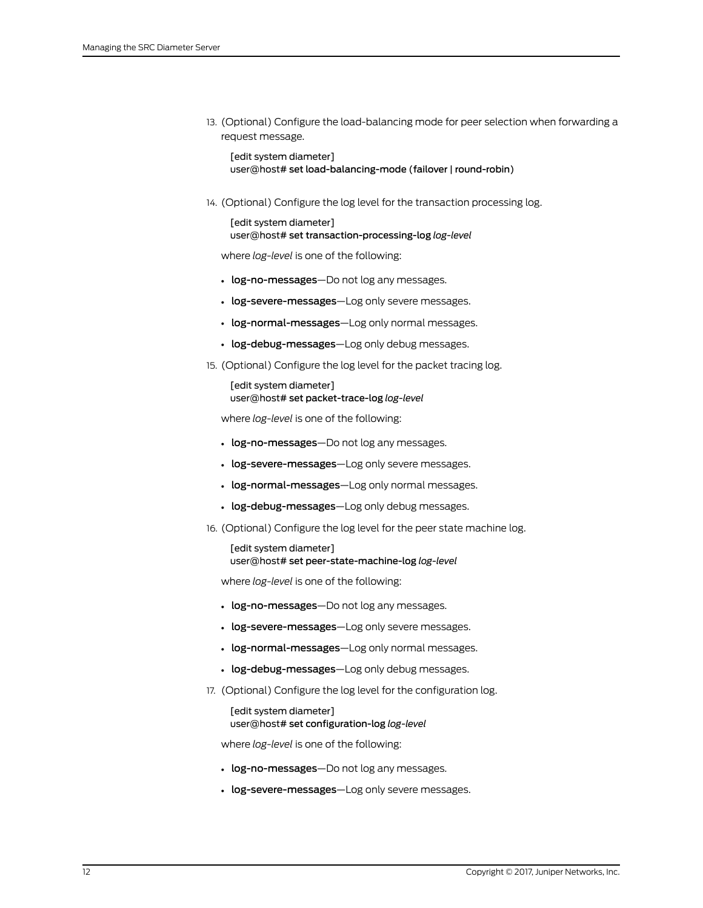13. (Optional) Configure the load-balancing mode for peer selection when forwarding a request message.

[edit system diameter] user@host# set load-balancing-mode (failover | round-robin)

14. (Optional) Configure the log level for the transaction processing log.

[edit system diameter] user@host# set transaction-processing-log *log-level*

where *log-level* is one of the following:

- log-no-messages-Do not log any messages.
- log-severe-messages-Log only severe messages.
- log-normal-messages—Log only normal messages.
- log-debug-messages-Log only debug messages.
- 15. (Optional) Configure the log level for the packet tracing log.

[edit system diameter] user@host# set packet-trace-log *log-level*

where *log-level* is one of the following:

- log-no-messages-Do not log any messages.
- log-severe-messages-Log only severe messages.
- log-normal-messages—Log only normal messages.
- log-debug-messages-Log only debug messages.
- 16. (Optional) Configure the log level for the peer state machine log.

[edit system diameter] user@host# set peer-state-machine-log *log-level*

where *log-level* is one of the following:

- log-no-messages-Do not log any messages.
- log-severe-messages-Log only severe messages.
- log-normal-messages—Log only normal messages.
- log-debug-messages-Log only debug messages.
- 17. (Optional) Configure the log level for the configuration log.

[edit system diameter] user@host# set configuration-log *log-level*

where *log-level* is one of the following:

- log-no-messages-Do not log any messages.
- log-severe-messages-Log only severe messages.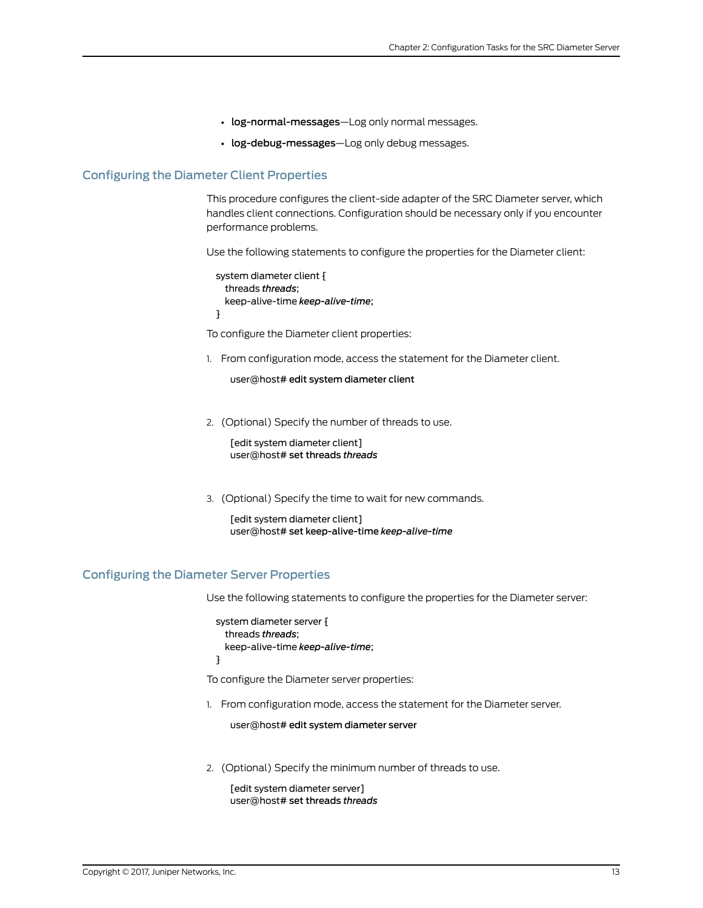- log-normal-messages—Log only normal messages.
- log-debug-messages-Log only debug messages.

#### <span id="page-24-0"></span>Configuring the Diameter Client Properties

This procedure configures the client-side adapter of the SRC Diameter server, which handles client connections. Configuration should be necessary only if you encounter performance problems.

Use the following statements to configure the properties for the Diameter client:

```
system diameter client {
  threads threads;
  keep-alive-time keep-alive-time;
}
```
To configure the Diameter client properties:

1. From configuration mode, access the statement for the Diameter client.

user@host# edit system diameter client

2. (Optional) Specify the number of threads to use.

[edit system diameter client] user@host# set threads *threads*

3. (Optional) Specify the time to wait for new commands.

[edit system diameter client] user@host# set keep-alive-time *keep-alive-time*

### <span id="page-24-1"></span>Configuring the Diameter Server Properties

Use the following statements to configure the properties for the Diameter server:

```
system diameter server {
 threads threads;
  keep-alive-time keep-alive-time;
}
```
To configure the Diameter server properties:

1. From configuration mode, access the statement for the Diameter server.

user@host# edit system diameter server

2. (Optional) Specify the minimum number of threads to use.

[edit system diameter server] user@host# set threads *threads*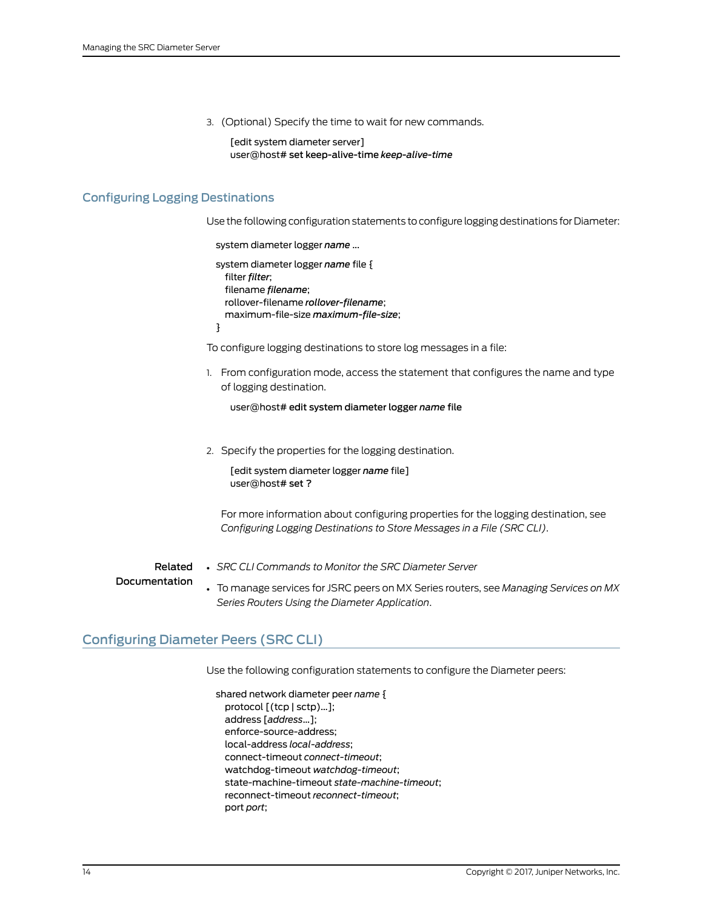3. (Optional) Specify the time to wait for new commands.

[edit system diameter server] user@host# set keep-alive-time *keep-alive-time*

## <span id="page-25-0"></span>Configuring Logging Destinations

Use the following configuration statements to configure logging destinations for Diameter:

system diameter logger *name* ...

```
system diameter logger name file {
 filter filter;
 filename filename;
  rollover-filename rollover-filename;
  maximum-file-size maximum-file-size;
}
```
To configure logging destinations to store log messages in a file:

1. From configuration mode, access the statement that configures the name and type of logging destination.

user@host# edit system diameter logger *name* file

2. Specify the properties for the logging destination.

[edit system diameter logger *name* file] user@host# set ?

For more information about configuring properties for the logging destination, see *Configuring Logging Destinations to Store Messages in a File (SRC CLI)*.

- Related
- *SRC CLI Commands to Monitor the SRC Diameter Server*
- <span id="page-25-1"></span>Documentation
- To manage services for JSRC peers on MX Series routers, see *Managing Services on MX Series Routers Using the Diameter Application*.

## Configuring Diameter Peers (SRC CLI)

Use the following configuration statements to configure the Diameter peers:

shared network diameter peer *name* { protocol [(tcp | sctp)...]; address [*address*...]; enforce-source-address; local-address *local-address*; connect-timeout *connect-timeout*; watchdog-timeout *watchdog-timeout*; state-machine-timeout *state-machine-timeout*; reconnect-timeout *reconnect-timeout*; port *port*;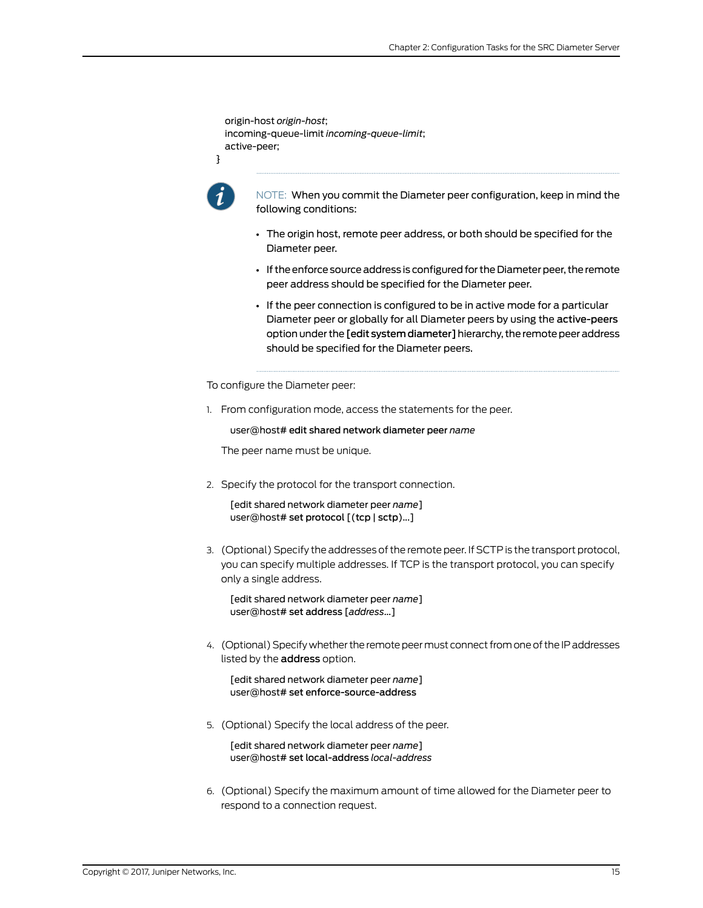```
origin-host origin-host;
incoming-queue-limit incoming-queue-limit;
active-peer;
```




NOTE: When you commit the Diameter peer configuration, keep in mind the following conditions:

- The origin host, remote peer address, or both should be specified for the Diameter peer.
- If the enforce source address is configured for the Diameter peer, the remote peer address should be specified for the Diameter peer.
- If the peer connection is configured to be in active mode for a particular Diameter peer or globally for all Diameter peers by using the active-peers option under the [edit system diameter] hierarchy, the remote peer address should be specified for the Diameter peers.

To configure the Diameter peer:

1. From configuration mode, access the statements for the peer.

user@host# edit shared network diameter peer *name*

The peer name must be unique.

2. Specify the protocol for the transport connection.

[edit shared network diameter peer *name*] user@host# set protocol [(tcp | sctp)...]

3. (Optional) Specify the addresses of the remote peer. If SCTP is the transport protocol, you can specify multiple addresses. If TCP is the transport protocol, you can specify only a single address.

[edit shared network diameter peer *name*] user@host# set address [*address*...]

4. (Optional) Specify whether the remotepeermust connect fromoneof the IP addresses listed by the **address** option.

[edit shared network diameter peer *name*] user@host# set enforce-source-address

5. (Optional) Specify the local address of the peer.

[edit shared network diameter peer *name*] user@host# set local-address *local-address*

6. (Optional) Specify the maximum amount of time allowed for the Diameter peer to respond to a connection request.